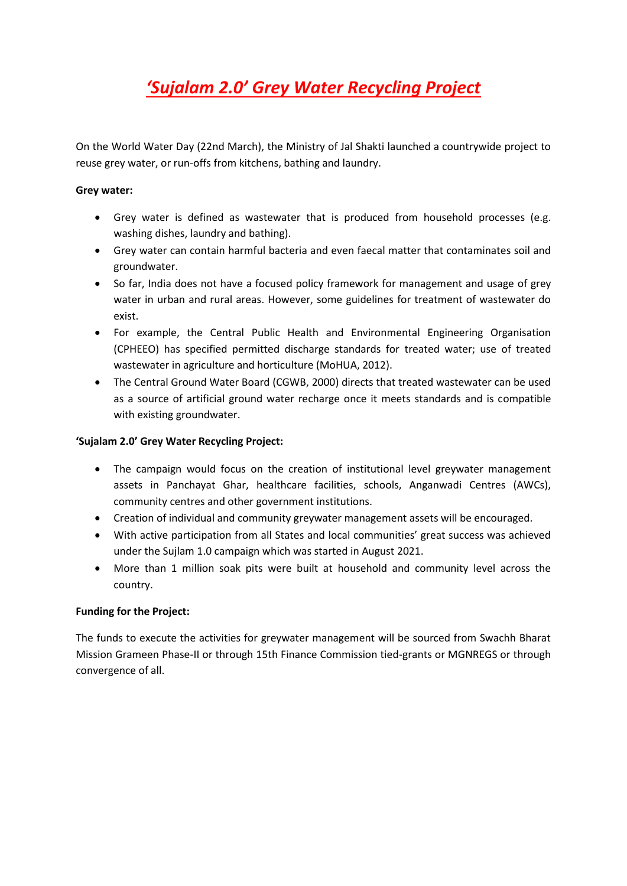# *'Sujalam 2.0' Grey Water Recycling Project*

On the World Water Day (22nd March), the Ministry of Jal Shakti launched a countrywide project to reuse grey water, or run-offs from kitchens, bathing and laundry.

#### **Grey water:**

- Grey water is defined as wastewater that is produced from household processes (e.g. washing dishes, laundry and bathing).
- Grey water can contain harmful bacteria and even faecal matter that contaminates soil and groundwater.
- So far, India does not have a focused policy framework for management and usage of grey water in urban and rural areas. However, some guidelines for treatment of wastewater do exist.
- For example, the Central Public Health and Environmental Engineering Organisation (CPHEEO) has specified permitted discharge standards for treated water; use of treated wastewater in agriculture and horticulture (MoHUA, 2012).
- The Central Ground Water Board (CGWB, 2000) directs that treated wastewater can be used as a source of artificial ground water recharge once it meets standards and is compatible with existing groundwater.

### **'Sujalam 2.0' Grey Water Recycling Project:**

- The campaign would focus on the creation of institutional level greywater management assets in Panchayat Ghar, healthcare facilities, schools, Anganwadi Centres (AWCs), community centres and other government institutions.
- Creation of individual and community greywater management assets will be encouraged.
- With active participation from all States and local communities' great success was achieved under the Sujlam 1.0 campaign which was started in August 2021.
- More than 1 million soak pits were built at household and community level across the country.

## **Funding for the Project:**

The funds to execute the activities for greywater management will be sourced from Swachh Bharat Mission Grameen Phase-II or through 15th Finance Commission tied-grants or MGNREGS or through convergence of all.